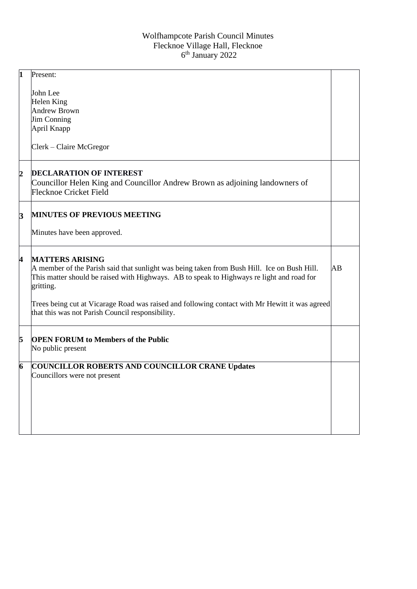| $\mathbf{1}$        | Present:                                                                                                                                                                                                                        |    |
|---------------------|---------------------------------------------------------------------------------------------------------------------------------------------------------------------------------------------------------------------------------|----|
|                     | John Lee                                                                                                                                                                                                                        |    |
|                     | Helen King                                                                                                                                                                                                                      |    |
|                     | <b>Andrew Brown</b>                                                                                                                                                                                                             |    |
|                     | <b>Jim Conning</b>                                                                                                                                                                                                              |    |
|                     | April Knapp                                                                                                                                                                                                                     |    |
|                     |                                                                                                                                                                                                                                 |    |
|                     | Clerk – Claire McGregor                                                                                                                                                                                                         |    |
| $\overline{c}$      | <b>DECLARATION OF INTEREST</b>                                                                                                                                                                                                  |    |
|                     | Councillor Helen King and Councillor Andrew Brown as adjoining landowners of                                                                                                                                                    |    |
|                     | <b>Flecknoe Cricket Field</b>                                                                                                                                                                                                   |    |
|                     |                                                                                                                                                                                                                                 |    |
| 3                   | <b>MINUTES OF PREVIOUS MEETING</b>                                                                                                                                                                                              |    |
|                     | Minutes have been approved.                                                                                                                                                                                                     |    |
| 4                   | <b>MATTERS ARISING</b><br>A member of the Parish said that sunlight was being taken from Bush Hill. Ice on Bush Hill.<br>This matter should be raised with Highways. AB to speak to Highways re light and road for<br>gritting. | AB |
|                     | Trees being cut at Vicarage Road was raised and following contact with Mr Hewitt it was agreed<br>that this was not Parish Council responsibility.                                                                              |    |
| 5                   | <b>OPEN FORUM to Members of the Public</b>                                                                                                                                                                                      |    |
|                     | No public present                                                                                                                                                                                                               |    |
| $\overline{\bf{6}}$ | <b>COUNCILLOR ROBERTS AND COUNCILLOR CRANE Updates</b>                                                                                                                                                                          |    |
|                     | Councillors were not present                                                                                                                                                                                                    |    |
|                     |                                                                                                                                                                                                                                 |    |
|                     |                                                                                                                                                                                                                                 |    |
|                     |                                                                                                                                                                                                                                 |    |
|                     |                                                                                                                                                                                                                                 |    |
|                     |                                                                                                                                                                                                                                 |    |
|                     |                                                                                                                                                                                                                                 |    |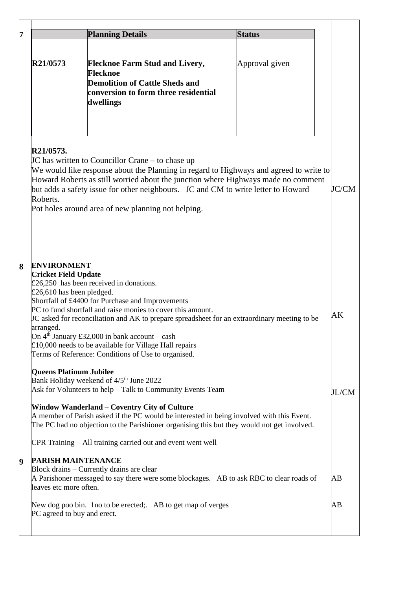|                                                                                             | <b>Planning Details</b>                                                                                                                                                                                                                                                                                                                                                                                                        | <b>Status</b>  |              |
|---------------------------------------------------------------------------------------------|--------------------------------------------------------------------------------------------------------------------------------------------------------------------------------------------------------------------------------------------------------------------------------------------------------------------------------------------------------------------------------------------------------------------------------|----------------|--------------|
| R21/0573                                                                                    | <b>Flecknoe Farm Stud and Livery,</b><br>Flecknoe<br><b>Demolition of Cattle Sheds and</b><br>conversion to form three residential<br>dwellings                                                                                                                                                                                                                                                                                | Approval given |              |
| R21/0573.<br>Roberts.                                                                       | JC has written to Councillor Crane – to chase up<br>We would like response about the Planning in regard to Highways and agreed to write to<br>Howard Roberts as still worried about the junction where Highways made no comment<br>but adds a safety issue for other neighbours. JC and CM to write letter to Howard<br>Pot holes around area of new planning not helping.                                                     |                | <b>JC/CM</b> |
| <b>ENVIRONMENT</b><br><b>Cricket Field Update</b><br>£26,610 has been pledged.<br>arranged. | £26,250 has been received in donations.<br>Shortfall of £4400 for Purchase and Improvements<br>PC to fund shortfall and raise monies to cover this amount.<br>JC asked for reconciliation and AK to prepare spreadsheet for an extraordinary meeting to be<br>On $4th$ January £32,000 in bank account – cash<br>£10,000 needs to be available for Village Hall repairs<br>Terms of Reference: Conditions of Use to organised. |                | AK           |
| <b>Queens Platinum Jubilee</b>                                                              | Bank Holiday weekend of 4/5 <sup>th</sup> June 2022<br>Ask for Volunteers to help - Talk to Community Events Team<br>Window Wanderland - Coventry City of Culture<br>A member of Parish asked if the PC would be interested in being involved with this Event.<br>The PC had no objection to the Parishioner organising this but they would not get involved.                                                                  |                | JL/CM        |
|                                                                                             | CPR Training - All training carried out and event went well                                                                                                                                                                                                                                                                                                                                                                    |                |              |
| <b>PARISH MAINTENANCE</b><br>leaves etc more often.                                         | Block drains – Currently drains are clear<br>A Parishoner messaged to say there were some blockages. AB to ask RBC to clear roads of                                                                                                                                                                                                                                                                                           |                | AВ           |
| New dog poo bin. 1 no to be erected; AB to get map of verges                                |                                                                                                                                                                                                                                                                                                                                                                                                                                |                |              |